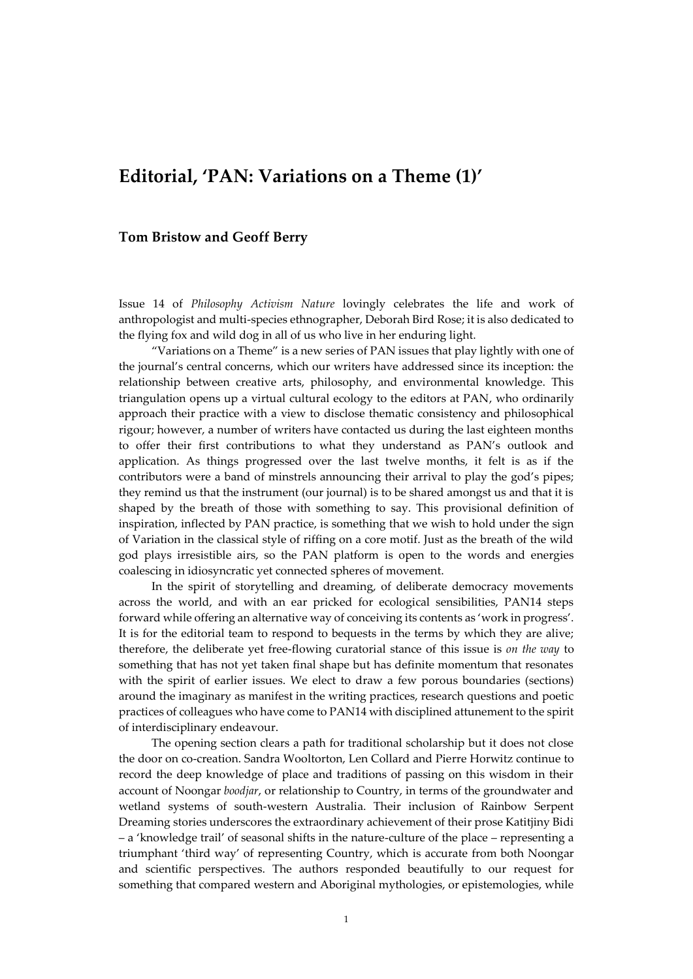## **Editorial, 'PAN: Variations on a Theme (1)'**

## **Tom Bristow and Geoff Berry**

Issue 14 of *Philosophy Activism Nature* lovingly celebrates the life and work of anthropologist and multi-species ethnographer, Deborah Bird Rose; it is also dedicated to the flying fox and wild dog in all of us who live in her enduring light.

"Variations on a Theme" is a new series of PAN issues that play lightly with one of the journal's central concerns, which our writers have addressed since its inception: the relationship between creative arts, philosophy, and environmental knowledge. This triangulation opens up a virtual cultural ecology to the editors at PAN, who ordinarily approach their practice with a view to disclose thematic consistency and philosophical rigour; however, a number of writers have contacted us during the last eighteen months to offer their first contributions to what they understand as PAN's outlook and application. As things progressed over the last twelve months, it felt is as if the contributors were a band of minstrels announcing their arrival to play the god's pipes; they remind us that the instrument (our journal) is to be shared amongst us and that it is shaped by the breath of those with something to say. This provisional definition of inspiration, inflected by PAN practice, is something that we wish to hold under the sign of Variation in the classical style of riffing on a core motif. Just as the breath of the wild god plays irresistible airs, so the PAN platform is open to the words and energies coalescing in idiosyncratic yet connected spheres of movement.

In the spirit of storytelling and dreaming, of deliberate democracy movements across the world, and with an ear pricked for ecological sensibilities, PAN14 steps forward while offering an alternative way of conceiving its contents as 'work in progress'. It is for the editorial team to respond to bequests in the terms by which they are alive; therefore, the deliberate yet free-flowing curatorial stance of this issue is *on the way* to something that has not yet taken final shape but has definite momentum that resonates with the spirit of earlier issues. We elect to draw a few porous boundaries (sections) around the imaginary as manifest in the writing practices, research questions and poetic practices of colleagues who have come to PAN14 with disciplined attunement to the spirit of interdisciplinary endeavour.

The opening section clears a path for traditional scholarship but it does not close the door on co-creation. Sandra Wooltorton, Len Collard and Pierre Horwitz continue to record the deep knowledge of place and traditions of passing on this wisdom in their account of Noongar *boodjar*, or relationship to Country, in terms of the groundwater and wetland systems of south-western Australia. Their inclusion of Rainbow Serpent Dreaming stories underscores the extraordinary achievement of their prose Katitjiny Bidi – a 'knowledge trail' of seasonal shifts in the nature-culture of the place – representing a triumphant 'third way' of representing Country, which is accurate from both Noongar and scientific perspectives. The authors responded beautifully to our request for something that compared western and Aboriginal mythologies, or epistemologies, while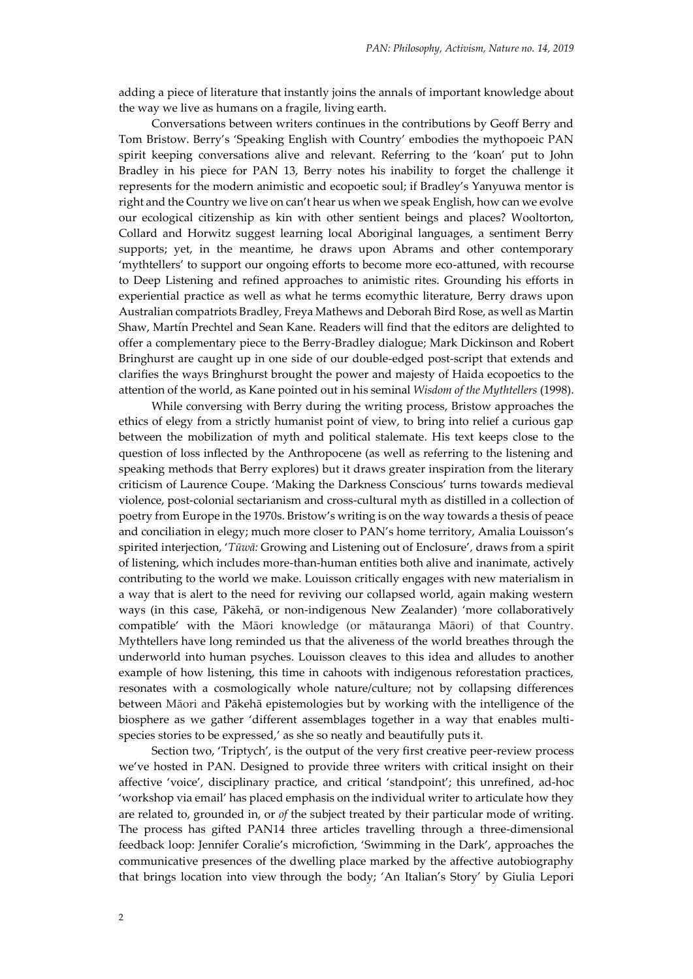adding a piece of literature that instantly joins the annals of important knowledge about the way we live as humans on a fragile, living earth.

Conversations between writers continues in the contributions by Geoff Berry and Tom Bristow. Berry's 'Speaking English with Country' embodies the mythopoeic PAN spirit keeping conversations alive and relevant. Referring to the 'koan' put to John Bradley in his piece for PAN 13, Berry notes his inability to forget the challenge it represents for the modern animistic and ecopoetic soul; if Bradley's Yanyuwa mentor is right and the Country we live on can't hear us when we speak English, how can we evolve our ecological citizenship as kin with other sentient beings and places? Wooltorton, Collard and Horwitz suggest learning local Aboriginal languages, a sentiment Berry supports; yet, in the meantime, he draws upon Abrams and other contemporary 'mythtellers' to support our ongoing efforts to become more eco-attuned, with recourse to Deep Listening and refined approaches to animistic rites. Grounding his efforts in experiential practice as well as what he terms ecomythic literature, Berry draws upon Australian compatriots Bradley, Freya Mathews and Deborah Bird Rose, as well as Martin Shaw, Martín Prechtel and Sean Kane. Readers will find that the editors are delighted to offer a complementary piece to the Berry-Bradley dialogue; Mark Dickinson and Robert Bringhurst are caught up in one side of our double-edged post-script that extends and clarifies the ways Bringhurst brought the power and majesty of Haida ecopoetics to the attention of the world, as Kane pointed out in his seminal *Wisdom of the Mythtellers* (1998).

While conversing with Berry during the writing process, Bristow approaches the ethics of elegy from a strictly humanist point of view, to bring into relief a curious gap between the mobilization of myth and political stalemate. His text keeps close to the question of loss inflected by the Anthropocene (as well as referring to the listening and speaking methods that Berry explores) but it draws greater inspiration from the literary criticism of Laurence Coupe. 'Making the Darkness Conscious' turns towards medieval violence, post-colonial sectarianism and cross-cultural myth as distilled in a collection of poetry from Europe in the 1970s. Bristow's writing is on the way towards a thesis of peace and conciliation in elegy; much more closer to PAN's home territory, Amalia Louisson's spirited interjection, '*Tūwā:* Growing and Listening out of Enclosure'*,* draws from a spirit of listening, which includes more-than-human entities both alive and inanimate, actively contributing to the world we make. Louisson critically engages with new materialism in a way that is alert to the need for reviving our collapsed world, again making western ways (in this case, Pākehā, or non-indigenous New Zealander) 'more collaboratively compatible' with the Māori knowledge (or mātauranga Māori) of that Country. Mythtellers have long reminded us that the aliveness of the world breathes through the underworld into human psyches. Louisson cleaves to this idea and alludes to another example of how listening, this time in cahoots with indigenous reforestation practices, resonates with a cosmologically whole nature/culture; not by collapsing differences between Māori and Pākehā epistemologies but by working with the intelligence of the biosphere as we gather 'different assemblages together in a way that enables multispecies stories to be expressed,' as she so neatly and beautifully puts it.

Section two, 'Triptych', is the output of the very first creative peer-review process we've hosted in PAN. Designed to provide three writers with critical insight on their affective 'voice', disciplinary practice, and critical 'standpoint'; this unrefined, ad-hoc 'workshop via email' has placed emphasis on the individual writer to articulate how they are related to, grounded in, or *of* the subject treated by their particular mode of writing. The process has gifted PAN14 three articles travelling through a three-dimensional feedback loop: Jennifer Coralie's microfiction, 'Swimming in the Dark', approaches the communicative presences of the dwelling place marked by the affective autobiography that brings location into view through the body; 'An Italian's Story' by Giulia Lepori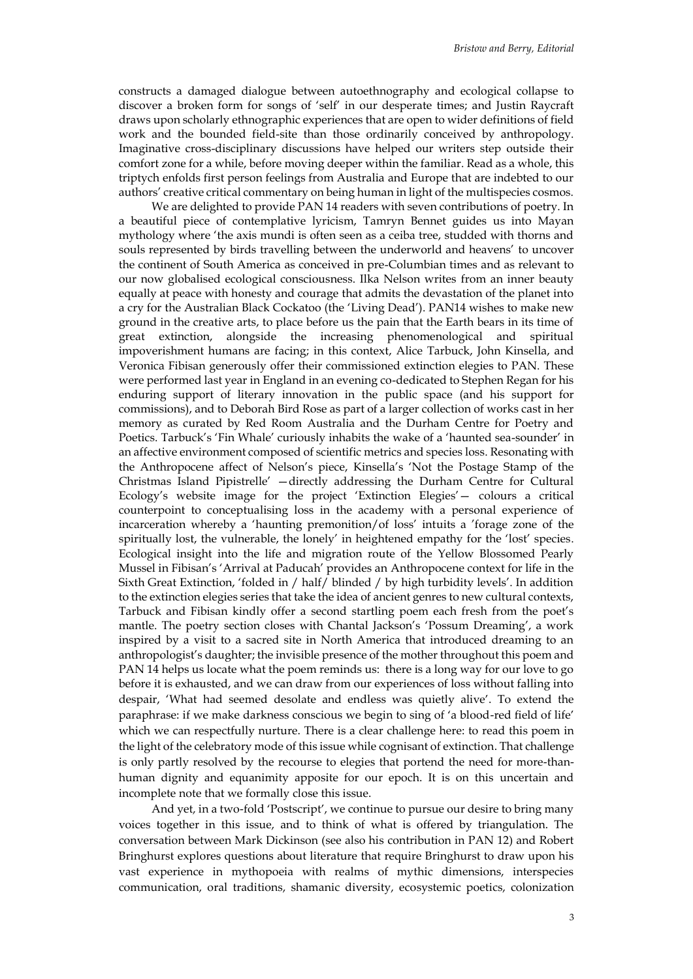constructs a damaged dialogue between autoethnography and ecological collapse to discover a broken form for songs of 'self' in our desperate times; and Justin Raycraft draws upon scholarly ethnographic experiences that are open to wider definitions of field work and the bounded field-site than those ordinarily conceived by anthropology. Imaginative cross-disciplinary discussions have helped our writers step outside their comfort zone for a while, before moving deeper within the familiar. Read as a whole, this triptych enfolds first person feelings from Australia and Europe that are indebted to our authors' creative critical commentary on being human in light of the multispecies cosmos.

We are delighted to provide PAN 14 readers with seven contributions of poetry. In a beautiful piece of contemplative lyricism, Tamryn Bennet guides us into Mayan mythology where 'the axis mundi is often seen as a ceiba tree, studded with thorns and souls represented by birds travelling between the underworld and heavens' to uncover the continent of South America as conceived in pre-Columbian times and as relevant to our now globalised ecological consciousness. Ilka Nelson writes from an inner beauty equally at peace with honesty and courage that admits the devastation of the planet into a cry for the Australian Black Cockatoo (the 'Living Dead'). PAN14 wishes to make new ground in the creative arts, to place before us the pain that the Earth bears in its time of great extinction, alongside the increasing phenomenological and spiritual impoverishment humans are facing; in this context, Alice Tarbuck, John Kinsella, and Veronica Fibisan generously offer their commissioned extinction elegies to PAN. These were performed last year in England in an evening co-dedicated to Stephen Regan for his enduring support of literary innovation in the public space (and his support for commissions), and to Deborah Bird Rose as part of a larger collection of works cast in her memory as curated by Red Room Australia and the Durham Centre for Poetry and Poetics. Tarbuck's 'Fin Whale' curiously inhabits the wake of a 'haunted sea-sounder' in an affective environment composed of scientific metrics and species loss. Resonating with the Anthropocene affect of Nelson's piece, Kinsella's 'Not the Postage Stamp of the Christmas Island Pipistrelle' —directly addressing the Durham Centre for Cultural Ecology's website image for the project 'Extinction Elegies'— colours a critical counterpoint to conceptualising loss in the academy with a personal experience of incarceration whereby a 'haunting premonition/of loss' intuits a 'forage zone of the spiritually lost, the vulnerable, the lonely' in heightened empathy for the 'lost' species. Ecological insight into the life and migration route of the Yellow Blossomed Pearly Mussel in Fibisan's 'Arrival at Paducah' provides an Anthropocene context for life in the Sixth Great Extinction, 'folded in / half/ blinded / by high turbidity levels'. In addition to the extinction elegies series that take the idea of ancient genres to new cultural contexts, Tarbuck and Fibisan kindly offer a second startling poem each fresh from the poet's mantle. The poetry section closes with Chantal Jackson's 'Possum Dreaming', a work inspired by a visit to a sacred site in North America that introduced dreaming to an anthropologist's daughter; the invisible presence of the mother throughout this poem and PAN 14 helps us locate what the poem reminds us: there is a long way for our love to go before it is exhausted, and we can draw from our experiences of loss without falling into despair, 'What had seemed desolate and endless was quietly alive'. To extend the paraphrase: if we make darkness conscious we begin to sing of 'a blood-red field of life' which we can respectfully nurture. There is a clear challenge here: to read this poem in the light of the celebratory mode of this issue while cognisant of extinction. That challenge is only partly resolved by the recourse to elegies that portend the need for more-thanhuman dignity and equanimity apposite for our epoch. It is on this uncertain and incomplete note that we formally close this issue.

And yet, in a two-fold 'Postscript', we continue to pursue our desire to bring many voices together in this issue, and to think of what is offered by triangulation. The conversation between Mark Dickinson (see also his contribution in PAN 12) and Robert Bringhurst explores questions about literature that require Bringhurst to draw upon his vast experience in mythopoeia with realms of mythic dimensions, interspecies communication, oral traditions, shamanic diversity, ecosystemic poetics, colonization